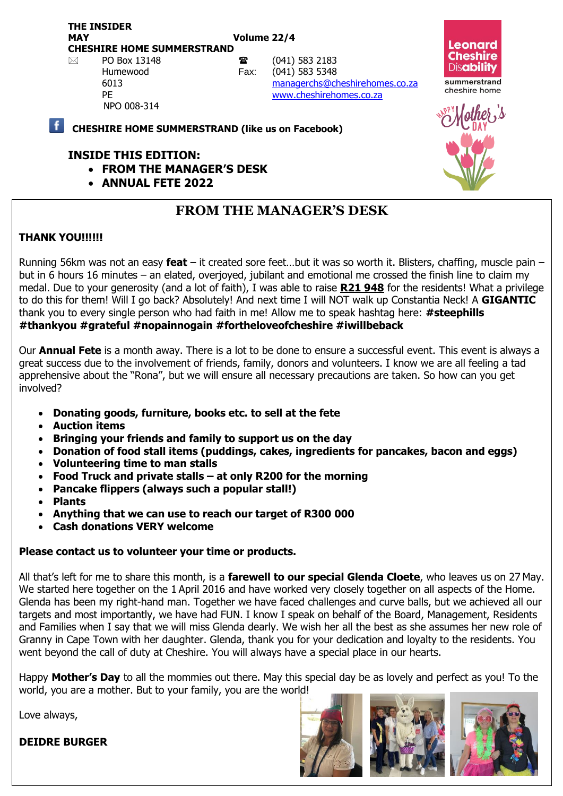**THE INSIDER MAY Volume 22/4 CHESHIRE HOME SUMMERSTRAND**

NPO 008-314

 $\boxtimes$  PO Box 13148 **a** (041) 583 2183 Humewood Fax: (041) 583 5348 6013 [managerchs@cheshirehomes.co.za](mailto:managerchs@cheshirehomes.co.za) PE [www.cheshirehomes.co.za](http://www.cheshirehomes.co.za/)

#### **CHESHIRE HOME SUMMERSTRAND (like us on Facebook)**

#### **INSIDE THIS EDITION:**

- **FROM THE MANAGER'S DESK**
- **ANNUAL FETE 2022**

## **FROM THE MANAGER'S DESK**

### **THANK YOU!!!!!!**

Running 56km was not an easy **feat** – it created sore feet…but it was so worth it. Blisters, chaffing, muscle pain – but in 6 hours 16 minutes – an elated, overjoyed, jubilant and emotional me crossed the finish line to claim my medal. Due to your generosity (and a lot of faith), I was able to raise **R21 948** for the residents! What a privilege to do this for them! Will I go back? Absolutely! And next time I will NOT walk up Constantia Neck! A **GIGANTIC** thank you to every single person who had faith in me! Allow me to speak hashtag here: **#steephills #thankyou #grateful #nopainnogain #fortheloveofcheshire #iwillbeback** 

Our **Annual Fete** is a month away. There is a lot to be done to ensure a successful event. This event is always a great success due to the involvement of friends, family, donors and volunteers. I know we are all feeling a tad apprehensive about the "Rona", but we will ensure all necessary precautions are taken. So how can you get involved?

- **Donating goods, furniture, books etc. to sell at the fete**
- **Auction items**
- **Bringing your friends and family to support us on the day**
- **Donation of food stall items (puddings, cakes, ingredients for pancakes, bacon and eggs)**
- **Volunteering time to man stalls**
- **Food Truck and private stalls – at only R200 for the morning**
- **Pancake flippers (always such a popular stall!)**
- **Plants**
- **Anything that we can use to reach our target of R300 000**
- **Cash donations VERY welcome**

#### **Please contact us to volunteer your time or products.**

All that's left for me to share this month, is a **farewell to our special Glenda Cloete**, who leaves us on 27 May. We started here together on the 1 April 2016 and have worked very closely together on all aspects of the Home. Glenda has been my right-hand man. Together we have faced challenges and curve balls, but we achieved all our targets and most importantly, we have had FUN. I know I speak on behalf of the Board, Management, Residents and Families when I say that we will miss Glenda dearly. We wish her all the best as she assumes her new role of Granny in Cape Town with her daughter. Glenda, thank you for your dedication and loyalty to the residents. You went beyond the call of duty at Cheshire. You will always have a special place in our hearts.

Happy **Mother's Day** to all the mommies out there. May this special day be as lovely and perfect as you! To the world, you are a mother. But to your family, you are the world!

Love always,

**DEIDRE BURGER**





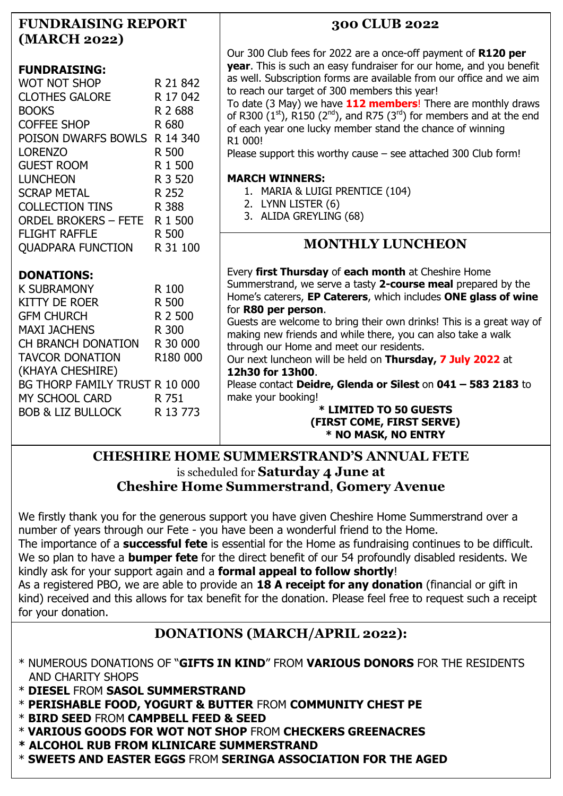| <b>FUNDRAISING REPORT</b><br>(MARCH 2022)                                                                                                                                                                                                                    |                                                                                                                           | 300 CLUB 2022                                                                                                                                                                                                                                                                                                                                                                                                                                                                                                                                                                                                                                          |
|--------------------------------------------------------------------------------------------------------------------------------------------------------------------------------------------------------------------------------------------------------------|---------------------------------------------------------------------------------------------------------------------------|--------------------------------------------------------------------------------------------------------------------------------------------------------------------------------------------------------------------------------------------------------------------------------------------------------------------------------------------------------------------------------------------------------------------------------------------------------------------------------------------------------------------------------------------------------------------------------------------------------------------------------------------------------|
| <b>FUNDRAISING:</b><br><b>WOT NOT SHOP</b><br><b>CLOTHES GALORE</b><br><b>BOOKS</b><br><b>COFFEE SHOP</b><br>POISON DWARFS BOWLS R 14 340<br><b>LORENZO</b><br><b>GUEST ROOM</b><br><b>LUNCHEON</b>                                                          | R 21 842<br>R 17 042<br>R 2 688<br>R 680<br>R 500<br>R 1 500<br>R 3 520<br>R 252<br>R 388<br>R 1 500<br>R 500<br>R 31 100 | Our 300 Club fees for 2022 are a once-off payment of R120 per<br>year. This is such an easy fundraiser for our home, and you benefit<br>as well. Subscription forms are available from our office and we aim<br>to reach our target of 300 members this year!<br>To date (3 May) we have 112 members! There are monthly draws<br>of R300 $(1st)$ , R150 $(2nd)$ , and R75 $(3rd)$ for members and at the end<br>of each year one lucky member stand the chance of winning<br>R1 000!<br>Please support this worthy cause $-$ see attached 300 Club form!<br><b>MARCH WINNERS:</b>                                                                      |
| <b>SCRAP METAL</b><br><b>COLLECTION TINS</b><br><b>ORDEL BROKERS - FETE</b>                                                                                                                                                                                  |                                                                                                                           | 1. MARIA & LUIGI PRENTICE (104)<br>2. LYNN LISTER (6)<br>3. ALIDA GREYLING (68)                                                                                                                                                                                                                                                                                                                                                                                                                                                                                                                                                                        |
| <b>FLIGHT RAFFLE</b><br><b>QUADPARA FUNCTION</b>                                                                                                                                                                                                             |                                                                                                                           | <b>MONTHLY LUNCHEON</b>                                                                                                                                                                                                                                                                                                                                                                                                                                                                                                                                                                                                                                |
| <b>DONATIONS:</b><br><b>K SUBRAMONY</b><br>KITTY DE ROER<br><b>GFM CHURCH</b><br><b>MAXI JACHENS</b><br>CH BRANCH DONATION<br><b>TAVCOR DONATION</b><br>(KHAYA CHESHIRE)<br>BG THORP FAMILY TRUST R 10 000<br>MY SCHOOL CARD<br><b>BOB &amp; LIZ BULLOCK</b> | R 100<br>R 500<br>R 2 500<br>R 300<br>R 30 000<br>R180 000<br>R 751<br>R 13 773                                           | Every first Thursday of each month at Cheshire Home<br>Summerstrand, we serve a tasty 2-course meal prepared by the<br>Home's caterers, EP Caterers, which includes ONE glass of wine<br>for R80 per person.<br>Guests are welcome to bring their own drinks! This is a great way of<br>making new friends and while there, you can also take a walk<br>through our Home and meet our residents.<br>Our next luncheon will be held on Thursday, 7 July 2022 at<br>12h30 for 13h00.<br>Please contact Deidre, Glenda or Silest on 041 - 583 2183 to<br>make your booking!<br>* LIMITED TO 50 GUESTS<br>(FIRST COME, FIRST SERVE)<br>* NO MASK, NO ENTRY |

### **CHESHIRE HOME SUMMERSTRAND'S ANNUAL FETE** is scheduled for **Saturday 4 June at Cheshire Home Summerstrand**, **Gomery Avenue**

We firstly thank you for the generous support you have given Cheshire Home Summerstrand over a number of years through our Fete - you have been a wonderful friend to the Home.

The importance of a **successful fete** is essential for the Home as fundraising continues to be difficult. We so plan to have a **bumper fete** for the direct benefit of our 54 profoundly disabled residents. We kindly ask for your support again and a **formal appeal to follow shortly**!

As a registered PBO, we are able to provide an **18 A receipt for any donation** (financial or gift in kind) received and this allows for tax benefit for the donation. Please feel free to request such a receipt for your donation.

# **DONATIONS (MARCH/APRIL 2022):**

- \* NUMEROUS DONATIONS OF "**GIFTS IN KIND**" FROM **VARIOUS DONORS** FOR THE RESIDENTS AND CHARITY SHOPS
- \* **DIESEL** FROM **SASOL SUMMERSTRAND**
- \* **PERISHABLE FOOD, YOGURT & BUTTER** FROM **COMMUNITY CHEST PE**
- \* **BIRD SEED** FROM **CAMPBELL FEED & SEED**
- \* **VARIOUS GOODS FOR WOT NOT SHOP** FROM **CHECKERS GREENACRES**
- **\* ALCOHOL RUB FROM KLINICARE SUMMERSTRAND**
- \* **SWEETS AND EASTER EGGS** FROM **SERINGA ASSOCIATION FOR THE AGED**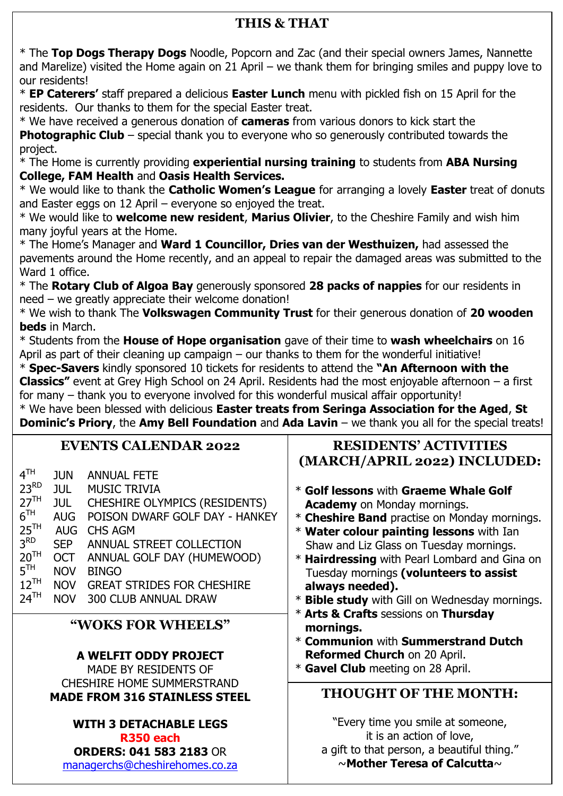## **THIS & THAT**

\* The **Top Dogs Therapy Dogs** Noodle, Popcorn and Zac (and their special owners James, Nannette and Marelize) visited the Home again on 21 April – we thank them for bringing smiles and puppy love to our residents!

\* **EP Caterers'** staff prepared a delicious **Easter Lunch** menu with pickled fish on 15 April for the residents. Our thanks to them for the special Easter treat.

\* We have received a generous donation of **cameras** from various donors to kick start the **Photographic Club** – special thank you to everyone who so generously contributed towards the project.

\* The Home is currently providing **experiential nursing training** to students from **ABA Nursing College, FAM Health** and **Oasis Health Services.**

\* We would like to thank the **Catholic Women's League** for arranging a lovely **Easter** treat of donuts and Easter eggs on 12 April – everyone so enjoyed the treat.

\* We would like to **welcome new resident**, **Marius Olivier**, to the Cheshire Family and wish him many joyful years at the Home.

\* The Home's Manager and **Ward 1 Councillor, Dries van der Westhuizen,** had assessed the pavements around the Home recently, and an appeal to repair the damaged areas was submitted to the Ward 1 office.

\* The **Rotary Club of Algoa Bay** generously sponsored **28 packs of nappies** for our residents in need – we greatly appreciate their welcome donation!

\* We wish to thank The **Volkswagen Community Trust** for their generous donation of **20 wooden beds** in March.

\* Students from the **House of Hope organisation** gave of their time to **wash wheelchairs** on 16 April as part of their cleaning up campaign – our thanks to them for the wonderful initiative!

\* **Spec-Savers** kindly sponsored 10 tickets for residents to attend the **"An Afternoon with the Classics"** event at Grey High School on 24 April. Residents had the most enjoyable afternoon – a first for many – thank you to everyone involved for this wonderful musical affair opportunity!

\* We have been blessed with delicious **Easter treats from Seringa Association for the Aged**, **St Dominic's Priory**, the **Amy Bell Foundation** and **Ada Lavin** – we thank you all for the special treats!

#### **EVENTS CALENDAR 2022**  $4<sup>TH</sup>$ <br>23<sup>RD</sup> JUN ANNUAL FETE 23<sup>RD</sup> JUL MUSIC TRIVIA<br>27<sup>TH</sup> JUL CHESHIRE OLN JUL CHESHIRE OLYMPICS (RESIDENTS)  $\overline{6}$ <sup>TH</sup> AUG POISON DWARF GOLF DAY - HANKEY  $25<sup>TH</sup>$  AUG CHS AGM  $3^{RD}$ <br> $20^{TH}$ SEP ANNUAL STREET COLLECTION OCT ANNUAL GOLF DAY (HUMEWOOD)  $5<sup>TH</sup>$ NOV BINGO 12<sup>TH</sup> NOV GREAT STRIDES FOR CHESHIRE<br>24<sup>TH</sup> NOV 300 CLUB ANNUAL DRAW NOV 300 CLUB ANNUAL DRAW **THOUGHT OF THE MONTH:** "Every time you smile at someone, it is an action of love, a gift to that person, a beautiful thing." ~**Mother Teresa of Calcutta**~ **"WOKS FOR WHEELS" A WELFIT ODDY PROJECT** MADE BY RESIDENTS OF CHESHIRE HOME SUMMERSTRAND **MADE FROM 316 STAINLESS STEEL WITH 3 DETACHABLE LEGS R350 each ORDERS: 041 583 2183** OR [managerchs@cheshirehomes.co.za](mailto:managerchs@cheshirehomes.co.za) **RESIDENTS' ACTIVITIES (MARCH/APRIL 2022) INCLUDED:** \* **Golf lessons** with **Graeme Whale Golf Academy** on Monday mornings. \* **Cheshire Band** practise on Monday mornings. \* **Water colour painting lessons** with Ian Shaw and Liz Glass on Tuesday mornings. \* **Hairdressing** with Pearl Lombard and Gina on Tuesday mornings **(volunteers to assist always needed).** \* **Bible study** with Gill on Wednesday mornings. \* **Arts & Crafts** sessions on **Thursday mornings.** \* **Communion** with **Summerstrand Dutch Reformed Church** on 20 April. \* **Gavel Club** meeting on 28 April.